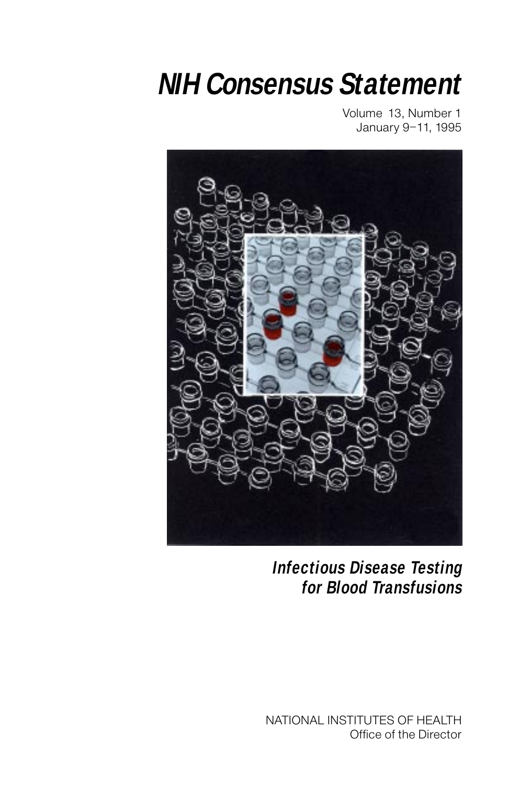# **NIH Consensus Statement**

Volume 13, Number 1 January 9–11, 1995



**Infectious Disease Testing for Blood Transfusions** 

NATIONAL INSTITUTES OF HEALTH Office of the Director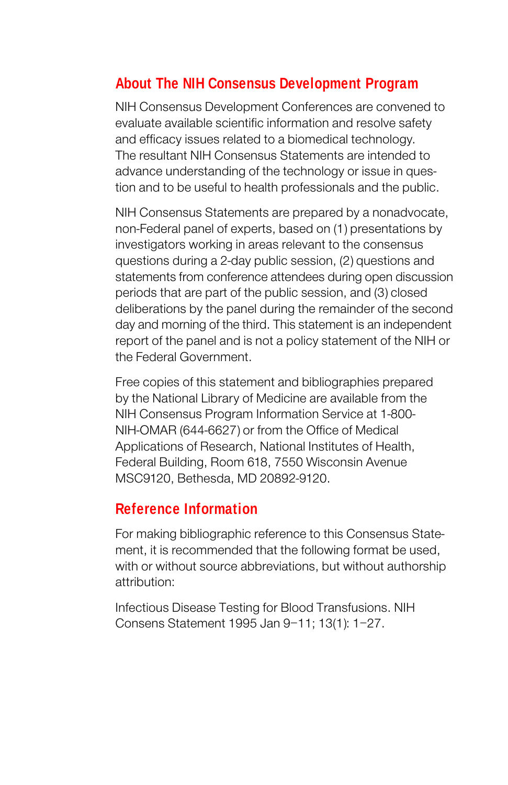### **About The NIH Consensus Development Program**

NIH Consensus Development Conferences are convened to evaluate available scientific information and resolve safety and efficacy issues related to a biomedical technology. The resultant NIH Consensus Statements are intended to advance understanding of the technology or issue in question and to be useful to health professionals and the public.

NIH Consensus Statements are prepared by a nonadvocate, non-Federal panel of experts, based on (1) presentations by investigators working in areas relevant to the consensus questions during a 2-day public session, (2) questions and statements from conference attendees during open discussion periods that are part of the public session, and (3) closed deliberations by the panel during the remainder of the second day and morning of the third. This statement is an independent report of the panel and is not a policy statement of the NIH or the Federal Government.

Free copies of this statement and bibliographies prepared by the National Library of Medicine are available from the NIH Consensus Program Information Service at 1-800 NIH-OMAR (644-6627) or from the Office of Medical Applications of Research, National Institutes of Health, Federal Building, Room 618, 7550 Wisconsin Avenue MSC9120, Bethesda, MD 20892-9120.

### **Reference Information**

For making bibliographic reference to this Consensus Statement, it is recommended that the following format be used, with or without source abbreviations, but without authorship attribution:

Infectious Disease Testing for Blood Transfusions. NIH Consens Statement 1995 Jan 9–11; 13(1): 1–27.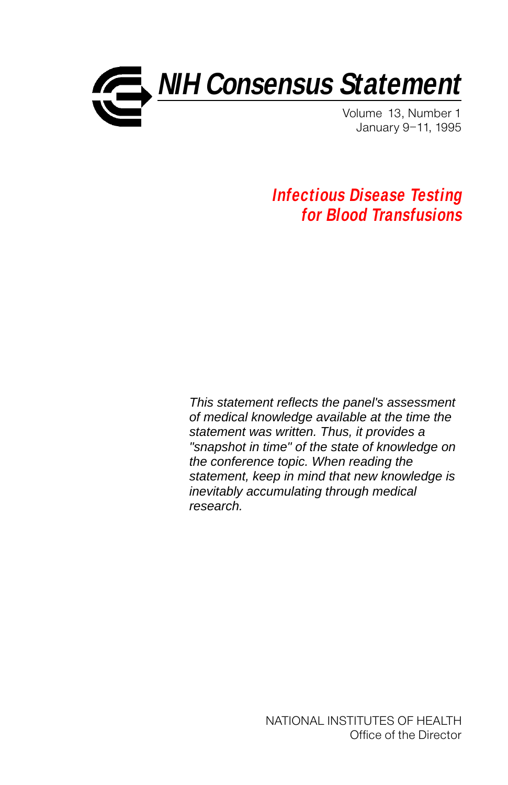

**Infectious Disease Testing for Blood Transfusions** 

This statement reflects the panel's assessment of medical knowledge available at the time the statement was written. Thus, it provides a "snapshot in time" of the state of knowledge on the conference topic. When reading the statement, keep in mind that new knowledge is inevitably accumulating through medical research.

> NATIONAL INSTITUTES OF HEALTH Office of the Director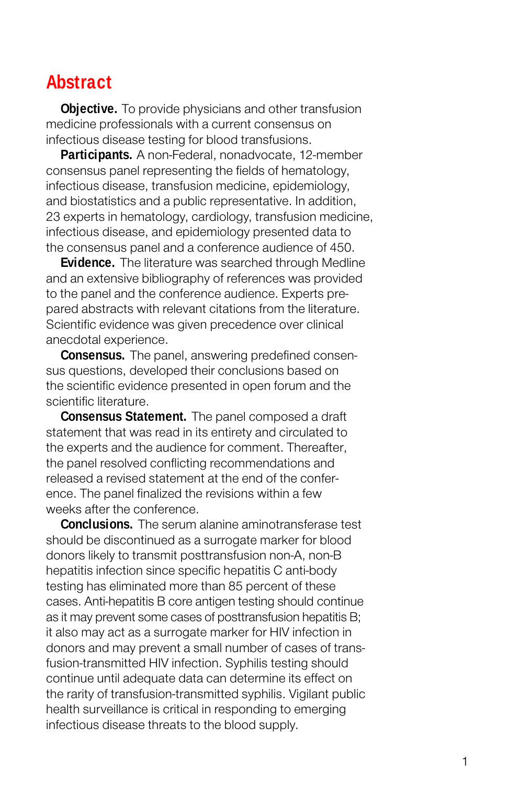# **Abstract**

**Objective.** To provide physicians and other transfusion medicine professionals with a current consensus on infectious disease testing for blood transfusions.

**Participants.** A non-Federal, nonadvocate, 12-member consensus panel representing the fields of hematology, infectious disease, transfusion medicine, epidemiology, and biostatistics and a public representative. In addition, 23 experts in hematology, cardiology, transfusion medicine, infectious disease, and epidemiology presented data to the consensus panel and a conference audience of 450.

**Evidence.** The literature was searched through Medline and an extensive bibliography of references was provided to the panel and the conference audience. Experts prepared abstracts with relevant citations from the literature. Scientific evidence was given precedence over clinical anecdotal experience.

**Consensus.** The panel, answering predefined consensus questions, developed their conclusions based on the scientific evidence presented in open forum and the scientific literature.

**Consensus Statement.** The panel composed a draft statement that was read in its entirety and circulated to the experts and the audience for comment. Thereafter, the panel resolved conflicting recommendations and released a revised statement at the end of the conference. The panel finalized the revisions within a few weeks after the conference.

**Conclusions.** The serum alanine aminotransferase test should be discontinued as a surrogate marker for blood donors likely to transmit posttransfusion non-A, non-B hepatitis infection since specific hepatitis C anti-body testing has eliminated more than 85 percent of these cases. Anti-hepatitis B core antigen testing should continue as it may prevent some cases of posttransfusion hepatitis B; it also may act as a surrogate marker for HIV infection in donors and may prevent a small number of cases of transfusion-transmitted HIV infection. Syphilis testing should continue until adequate data can determine its effect on the rarity of transfusion-transmitted syphilis. Vigilant public health surveillance is critical in responding to emerging infectious disease threats to the blood supply.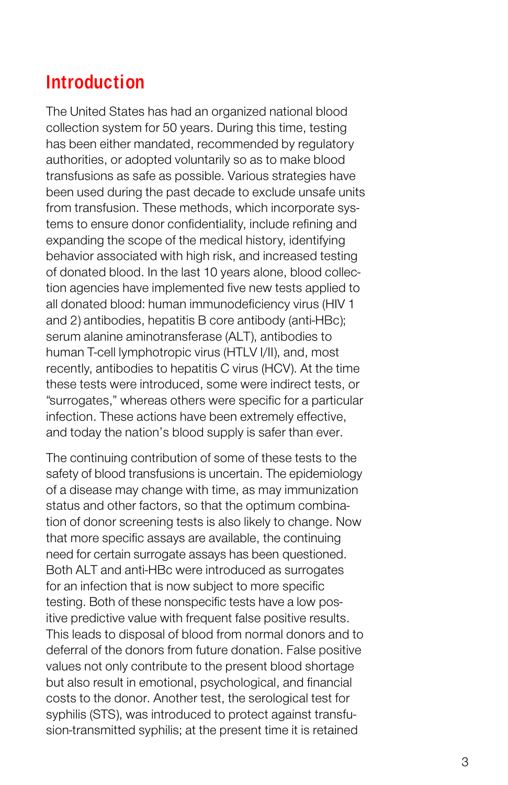# **Introduction**

The United States has had an organized national blood collection system for 50 years. During this time, testing has been either mandated, recommended by regulatory authorities, or adopted voluntarily so as to make blood transfusions as safe as possible. Various strategies have been used during the past decade to exclude unsafe units from transfusion. These methods, which incorporate systems to ensure donor confidentiality, include refining and expanding the scope of the medical history, identifying behavior associated with high risk, and increased testing of donated blood. In the last 10 years alone, blood collection agencies have implemented five new tests applied to all donated blood: human immunodeficiency virus (HIV 1 and 2) antibodies, hepatitis B core antibody (anti-HBc); serum alanine aminotransferase (ALT), antibodies to human T-cell lymphotropic virus (HTLV I/II), and, most recently, antibodies to hepatitis C virus (HCV). At the time these tests were introduced, some were indirect tests, or "surrogates," whereas others were specific for a particular infection. These actions have been extremely effective, and today the nation's blood supply is safer than ever.

The continuing contribution of some of these tests to the safety of blood transfusions is uncertain. The epidemiology of a disease may change with time, as may immunization status and other factors, so that the optimum combination of donor screening tests is also likely to change. Now that more specific assays are available, the continuing need for certain surrogate assays has been questioned. Both ALT and anti-HBc were introduced as surrogates for an infection that is now subject to more specific testing. Both of these nonspecific tests have a low positive predictive value with frequent false positive results. This leads to disposal of blood from normal donors and to deferral of the donors from future donation. False positive values not only contribute to the present blood shortage but also result in emotional, psychological, and financial costs to the donor. Another test, the serological test for syphilis (STS), was introduced to protect against transfusion-transmitted syphilis; at the present time it is retained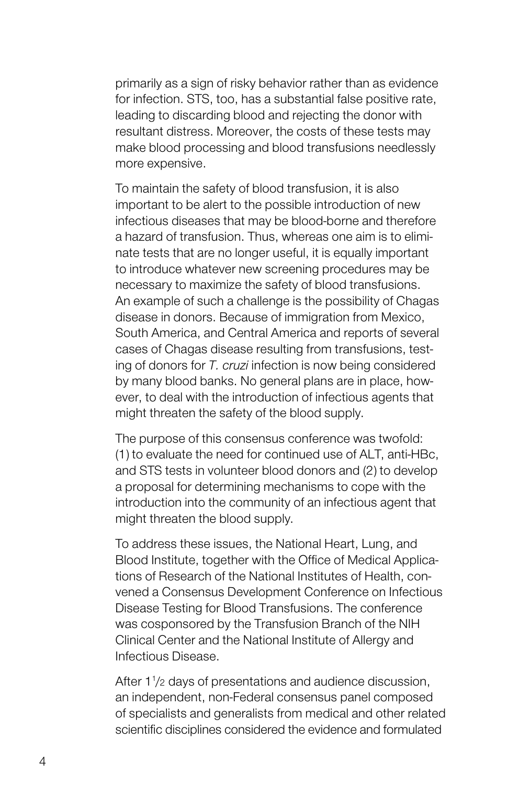primarily as a sign of risky behavior rather than as evidence for infection. STS, too, has a substantial false positive rate, leading to discarding blood and rejecting the donor with resultant distress. Moreover, the costs of these tests may make blood processing and blood transfusions needlessly more expensive.

To maintain the safety of blood transfusion, it is also important to be alert to the possible introduction of new infectious diseases that may be blood-borne and therefore a hazard of transfusion. Thus, whereas one aim is to eliminate tests that are no longer useful, it is equally important to introduce whatever new screening procedures may be necessary to maximize the safety of blood transfusions. An example of such a challenge is the possibility of Chagas disease in donors. Because of immigration from Mexico, South America, and Central America and reports of several cases of Chagas disease resulting from transfusions, testing of donors for T. cruzi infection is now being considered by many blood banks. No general plans are in place, however, to deal with the introduction of infectious agents that might threaten the safety of the blood supply.

The purpose of this consensus conference was twofold: (1) to evaluate the need for continued use of ALT, anti-HBc, and STS tests in volunteer blood donors and (2) to develop a proposal for determining mechanisms to cope with the introduction into the community of an infectious agent that might threaten the blood supply.

To address these issues, the National Heart, Lung, and Blood Institute, together with the Office of Medical Applications of Research of the National Institutes of Health, convened a Consensus Development Conference on Infectious Disease Testing for Blood Transfusions. The conference was cosponsored by the Transfusion Branch of the NIH Clinical Center and the National Institute of Allergy and Infectious Disease.

After 1<sup>1</sup>/2 days of presentations and audience discussion, an independent, non-Federal consensus panel composed of specialists and generalists from medical and other related scientific disciplines considered the evidence and formulated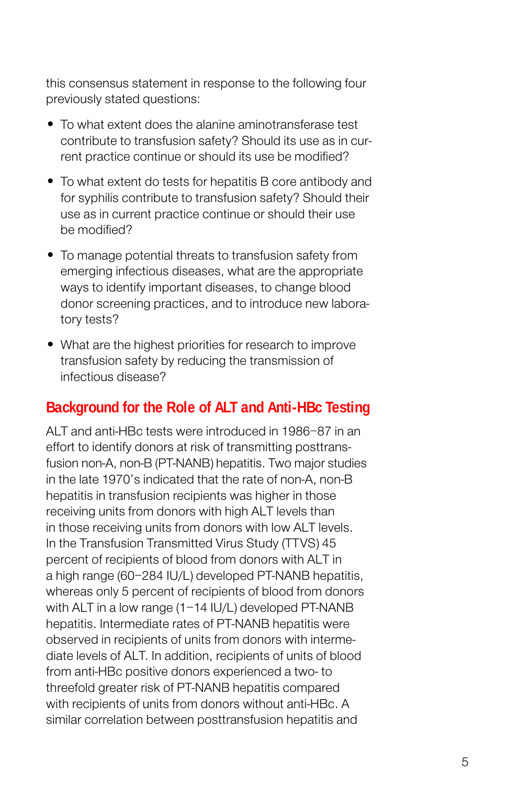this consensus statement in response to the following four previously stated questions:

- **•** To what extent does the alanine aminotransferase test contribute to transfusion safety? Should its use as in current practice continue or should its use be modified?
- To what extent do tests for hepatitis B core antibody and for syphilis contribute to transfusion safety? Should their use as in current practice continue or should their use be modified?
- To manage potential threats to transfusion safety from emerging infectious diseases, what are the appropriate ways to identify important diseases, to change blood donor screening practices, and to introduce new laboratory tests?
- What are the highest priorities for research to improve transfusion safety by reducing the transmission of infectious disease?

### **Background for the Role of ALT and Anti-HBc Testing**

ALT and anti-HBc tests were introduced in 1986–87 in an effort to identify donors at risk of transmitting posttransfusion non-A, non-B (PT-NANB) hepatitis. Two major studies in the late 1970's indicated that the rate of non-A, non-B hepatitis in transfusion recipients was higher in those receiving units from donors with high ALT levels than in those receiving units from donors with low ALT levels. In the Transfusion Transmitted Virus Study (TTVS) 45 percent of recipients of blood from donors with ALT in a high range (60–284 IU/L) developed PT-NANB hepatitis, whereas only 5 percent of recipients of blood from donors with ALT in a low range (1–14 IU/L) developed PT-NANB hepatitis. Intermediate rates of PT-NANB hepatitis were observed in recipients of units from donors with intermediate levels of ALT. In addition, recipients of units of blood from anti-HBc positive donors experienced a two- to threefold greater risk of PT-NANB hepatitis compared with recipients of units from donors without anti-HBc. A similar correlation between posttransfusion hepatitis and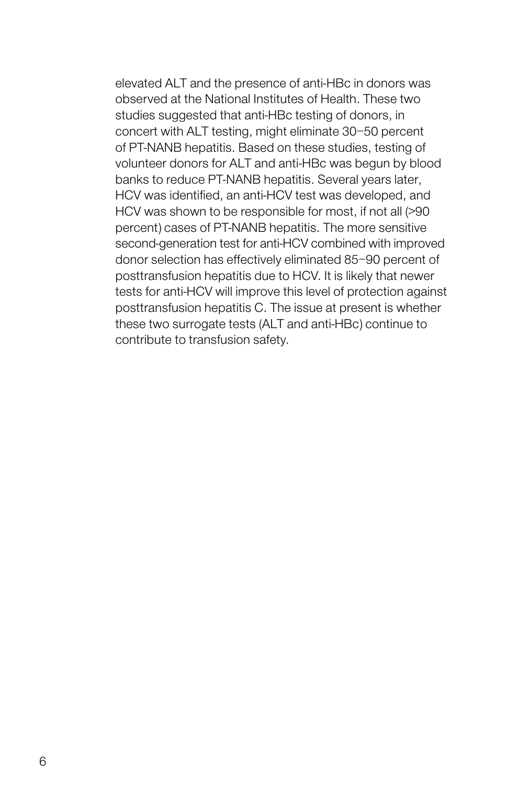elevated ALT and the presence of anti-HBc in donors was observed at the National Institutes of Health. These two studies suggested that anti-HBc testing of donors, in concert with ALT testing, might eliminate 30–50 percent of PT-NANB hepatitis. Based on these studies, testing of volunteer donors for ALT and anti-HBc was begun by blood banks to reduce PT-NANB hepatitis. Several years later, HCV was identified, an anti-HCV test was developed, and HCV was shown to be responsible for most, if not all (>90 percent) cases of PT-NANB hepatitis. The more sensitive second-generation test for anti-HCV combined with improved donor selection has effectively eliminated 85–90 percent of posttransfusion hepatitis due to HCV. It is likely that newer tests for anti-HCV will improve this level of protection against posttransfusion hepatitis C. The issue at present is whether these two surrogate tests (ALT and anti-HBc) continue to contribute to transfusion safety.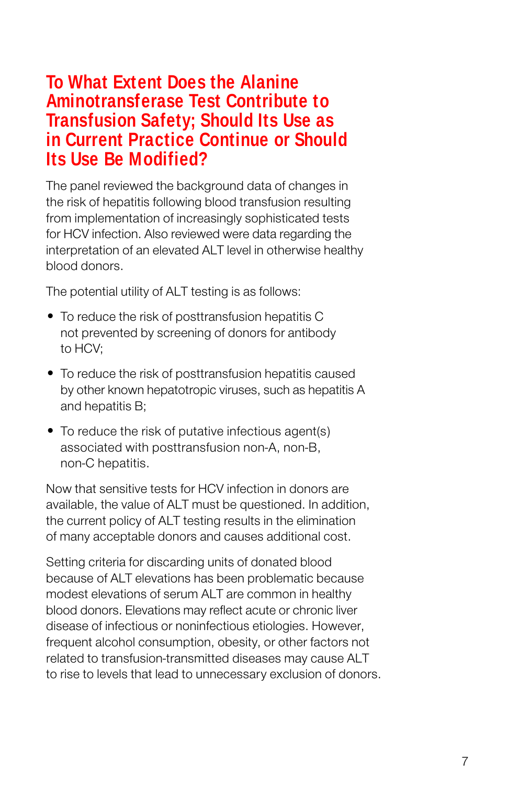# **To What Extent Does the Alanine Aminotransferase Test Contribute to Transfusion Safety; Should Its Use as in Current Practice Continue or Should Its Use Be Modified?**

The panel reviewed the background data of changes in the risk of hepatitis following blood transfusion resulting from implementation of increasingly sophisticated tests for HCV infection. Also reviewed were data regarding the interpretation of an elevated ALT level in otherwise healthy blood donors.

The potential utility of ALT testing is as follows:

- To reduce the risk of posttransfusion hepatitis C not prevented by screening of donors for antibody to HCV;
- To reduce the risk of posttransfusion hepatitis caused by other known hepatotropic viruses, such as hepatitis A and hepatitis B;
- To reduce the risk of putative infectious agent(s) associated with posttransfusion non-A, non-B, non-C hepatitis.

Now that sensitive tests for HCV infection in donors are available, the value of ALT must be questioned. In addition, the current policy of ALT testing results in the elimination of many acceptable donors and causes additional cost.

Setting criteria for discarding units of donated blood because of ALT elevations has been problematic because modest elevations of serum ALT are common in healthy blood donors. Elevations may reflect acute or chronic liver disease of infectious or noninfectious etiologies. However, frequent alcohol consumption, obesity, or other factors not related to transfusion-transmitted diseases may cause ALT to rise to levels that lead to unnecessary exclusion of donors.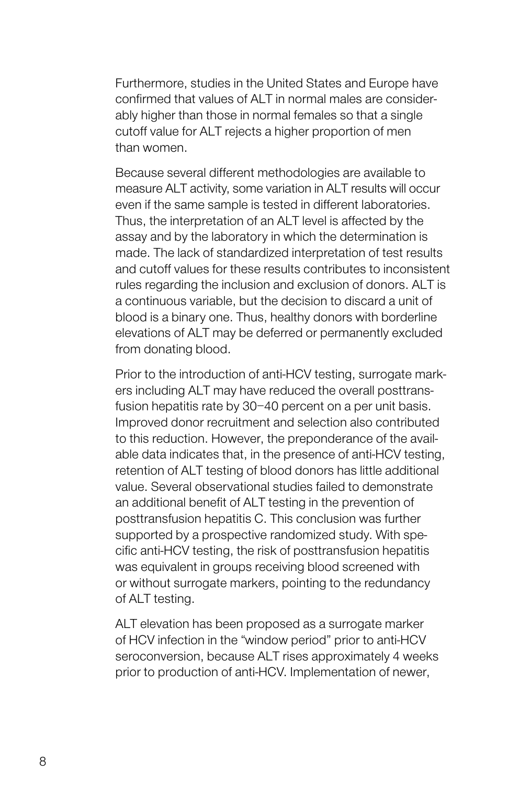Furthermore, studies in the United States and Europe have confirmed that values of ALT in normal males are considerably higher than those in normal females so that a single cutoff value for ALT rejects a higher proportion of men than women.

Because several different methodologies are available to measure ALT activity, some variation in ALT results will occur even if the same sample is tested in different laboratories. Thus, the interpretation of an ALT level is affected by the assay and by the laboratory in which the determination is made. The lack of standardized interpretation of test results and cutoff values for these results contributes to inconsistent rules regarding the inclusion and exclusion of donors. ALT is a continuous variable, but the decision to discard a unit of blood is a binary one. Thus, healthy donors with borderline elevations of ALT may be deferred or permanently excluded from donating blood.

Prior to the introduction of anti-HCV testing, surrogate markers including ALT may have reduced the overall posttransfusion hepatitis rate by 30–40 percent on a per unit basis. Improved donor recruitment and selection also contributed to this reduction. However, the preponderance of the available data indicates that, in the presence of anti-HCV testing, retention of ALT testing of blood donors has little additional value. Several observational studies failed to demonstrate an additional benefit of ALT testing in the prevention of posttransfusion hepatitis C. This conclusion was further supported by a prospective randomized study. With specific anti-HCV testing, the risk of posttransfusion hepatitis was equivalent in groups receiving blood screened with or without surrogate markers, pointing to the redundancy of ALT testing.

ALT elevation has been proposed as a surrogate marker of HCV infection in the "window period" prior to anti-HCV seroconversion, because ALT rises approximately 4 weeks prior to production of anti-HCV. Implementation of newer,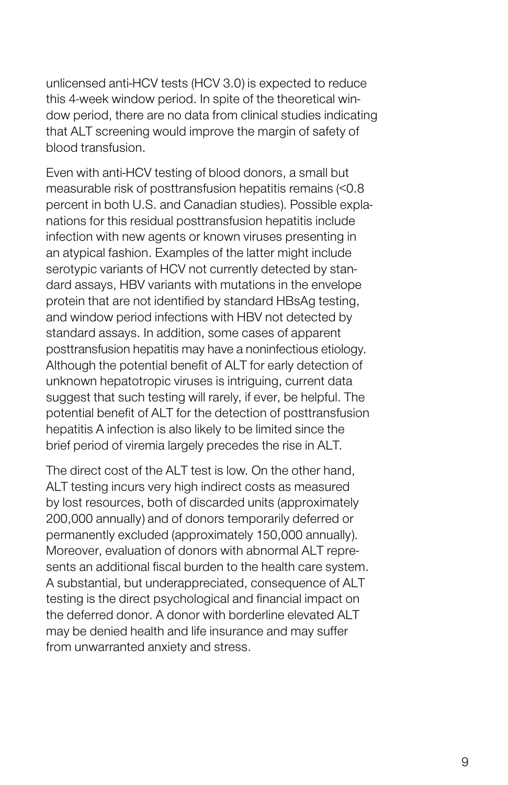unlicensed anti-HCV tests (HCV 3.0) is expected to reduce this 4-week window period. In spite of the theoretical window period, there are no data from clinical studies indicating that ALT screening would improve the margin of safety of blood transfusion.

Even with anti-HCV testing of blood donors, a small but measurable risk of posttransfusion hepatitis remains (<0.8 percent in both U.S. and Canadian studies). Possible explanations for this residual posttransfusion hepatitis include infection with new agents or known viruses presenting in an atypical fashion. Examples of the latter might include serotypic variants of HCV not currently detected by standard assays, HBV variants with mutations in the envelope protein that are not identified by standard HBsAg testing, and window period infections with HBV not detected by standard assays. In addition, some cases of apparent posttransfusion hepatitis may have a noninfectious etiology. Although the potential benefit of ALT for early detection of unknown hepatotropic viruses is intriguing, current data suggest that such testing will rarely, if ever, be helpful. The potential benefit of ALT for the detection of posttransfusion hepatitis A infection is also likely to be limited since the brief period of viremia largely precedes the rise in ALT.

The direct cost of the ALT test is low. On the other hand, ALT testing incurs very high indirect costs as measured by lost resources, both of discarded units (approximately 200,000 annually) and of donors temporarily deferred or permanently excluded (approximately 150,000 annually). Moreover, evaluation of donors with abnormal ALT represents an additional fiscal burden to the health care system. A substantial, but underappreciated, consequence of ALT testing is the direct psychological and financial impact on the deferred donor. A donor with borderline elevated ALT may be denied health and life insurance and may suffer from unwarranted anxiety and stress.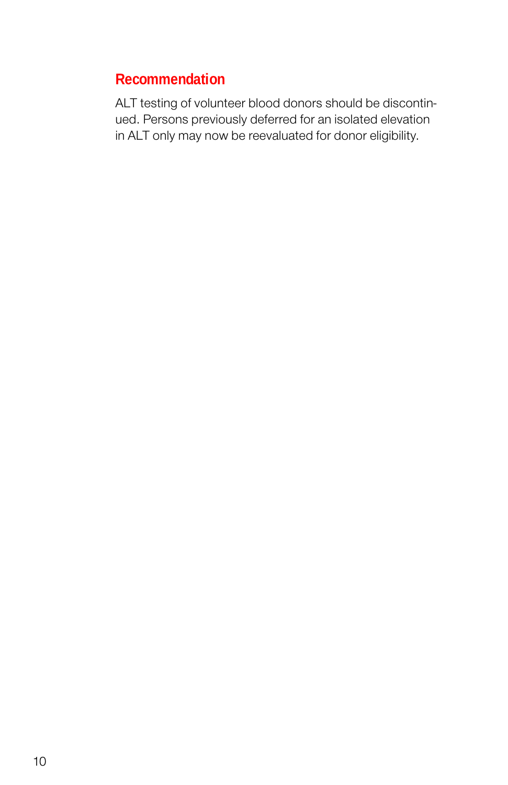### **Recommendation**

ALT testing of volunteer blood donors should be discontinued. Persons previously deferred for an isolated elevation in ALT only may now be reevaluated for donor eligibility.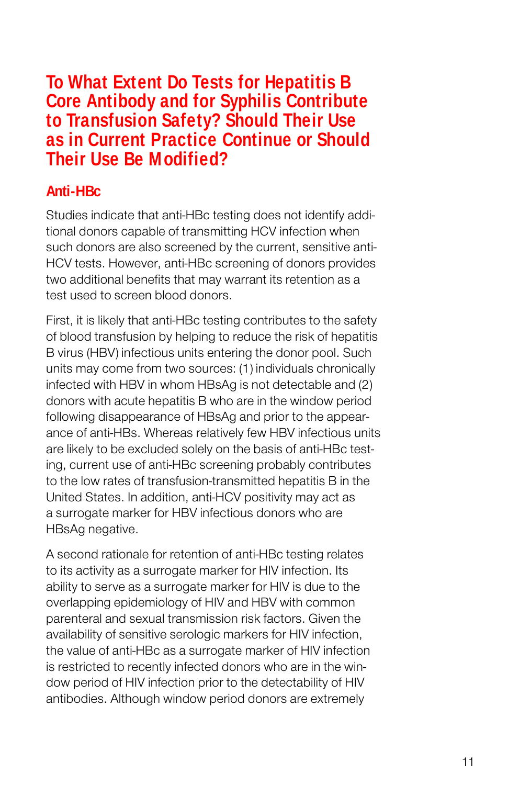# **To What Extent Do Tests for Hepatitis B Core Antibody and for Syphilis Contribute to Transfusion Safety? Should Their Use as in Current Practice Continue or Should Their Use Be Modified?**

## **Anti-HBc**

Studies indicate that anti-HBc testing does not identify additional donors capable of transmitting HCV infection when such donors are also screened by the current, sensitive anti-HCV tests. However, anti-HBc screening of donors provides two additional benefits that may warrant its retention as a test used to screen blood donors.

First, it is likely that anti-HBc testing contributes to the safety of blood transfusion by helping to reduce the risk of hepatitis B virus (HBV) infectious units entering the donor pool. Such units may come from two sources: (1) individuals chronically infected with HBV in whom HBsAg is not detectable and (2) donors with acute hepatitis B who are in the window period following disappearance of HBsAg and prior to the appearance of anti-HBs. Whereas relatively few HBV infectious units are likely to be excluded solely on the basis of anti-HBc testing, current use of anti-HBc screening probably contributes to the low rates of transfusion-transmitted hepatitis B in the United States. In addition, anti-HCV positivity may act as a surrogate marker for HBV infectious donors who are HBsAg negative.

A second rationale for retention of anti-HBc testing relates to its activity as a surrogate marker for HIV infection. Its ability to serve as a surrogate marker for HIV is due to the overlapping epidemiology of HIV and HBV with common parenteral and sexual transmission risk factors. Given the availability of sensitive serologic markers for HIV infection, the value of anti-HBc as a surrogate marker of HIV infection is restricted to recently infected donors who are in the window period of HIV infection prior to the detectability of HIV antibodies. Although window period donors are extremely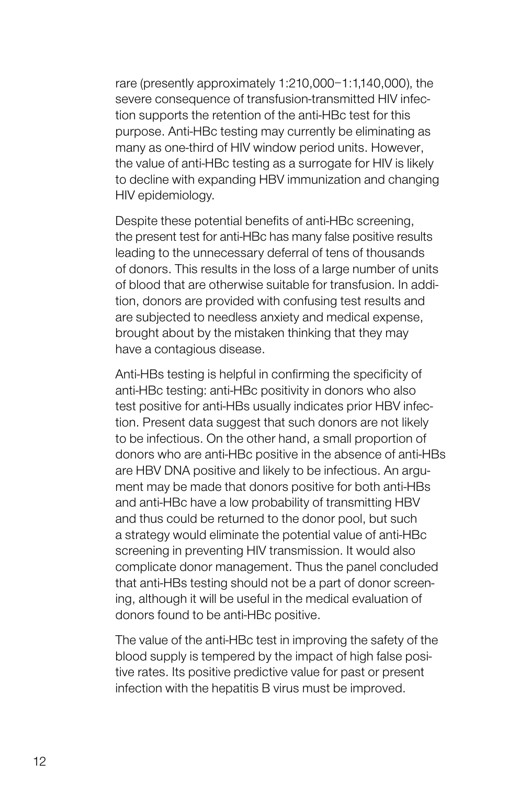rare (presently approximately 1:210,000–1:1,140,000), the severe consequence of transfusion-transmitted HIV infection supports the retention of the anti-HBc test for this purpose. Anti-HBc testing may currently be eliminating as many as one-third of HIV window period units. However, the value of anti-HBc testing as a surrogate for HIV is likely to decline with expanding HBV immunization and changing HIV epidemiology.

Despite these potential benefits of anti-HBc screening, the present test for anti-HBc has many false positive results leading to the unnecessary deferral of tens of thousands of donors. This results in the loss of a large number of units of blood that are otherwise suitable for transfusion. In addition, donors are provided with confusing test results and are subjected to needless anxiety and medical expense, brought about by the mistaken thinking that they may have a contagious disease.

Anti-HBs testing is helpful in confirming the specificity of anti-HBc testing: anti-HBc positivity in donors who also test positive for anti-HBs usually indicates prior HBV infection. Present data suggest that such donors are not likely to be infectious. On the other hand, a small proportion of donors who are anti-HBc positive in the absence of anti-HBs are HBV DNA positive and likely to be infectious. An argument may be made that donors positive for both anti-HBs and anti-HBc have a low probability of transmitting HBV and thus could be returned to the donor pool, but such a strategy would eliminate the potential value of anti-HBc screening in preventing HIV transmission. It would also complicate donor management. Thus the panel concluded that anti-HBs testing should not be a part of donor screening, although it will be useful in the medical evaluation of donors found to be anti-HBc positive.

The value of the anti-HBc test in improving the safety of the blood supply is tempered by the impact of high false positive rates. Its positive predictive value for past or present infection with the hepatitis B virus must be improved.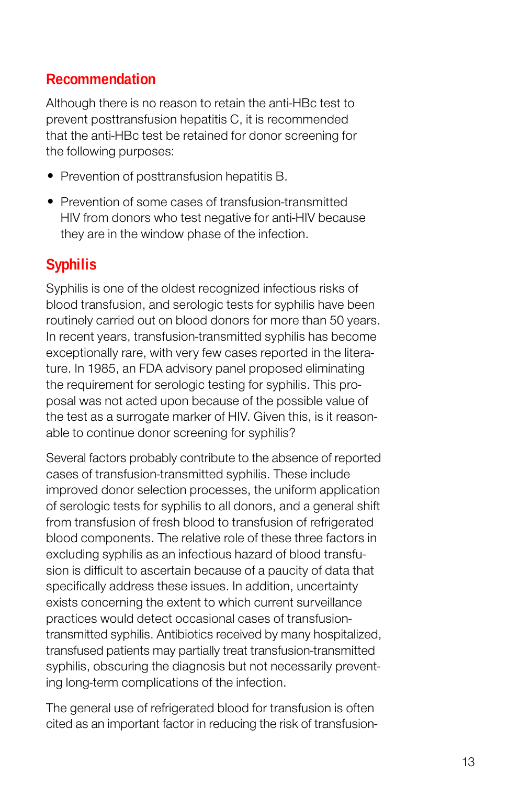# **Recommendation**

Although there is no reason to retain the anti-HBc test to prevent posttransfusion hepatitis C, it is recommended that the anti-HBc test be retained for donor screening for the following purposes:

- Prevention of posttransfusion hepatitis B.
- Prevention of some cases of transfusion-transmitted HIV from donors who test negative for anti-HIV because they are in the window phase of the infection.

# **Syphilis**

Syphilis is one of the oldest recognized infectious risks of blood transfusion, and serologic tests for syphilis have been routinely carried out on blood donors for more than 50 years. In recent years, transfusion-transmitted syphilis has become exceptionally rare, with very few cases reported in the literature. In 1985, an FDA advisory panel proposed eliminating the requirement for serologic testing for syphilis. This proposal was not acted upon because of the possible value of the test as a surrogate marker of HIV. Given this, is it reasonable to continue donor screening for syphilis?

Several factors probably contribute to the absence of reported cases of transfusion-transmitted syphilis. These include improved donor selection processes, the uniform application of serologic tests for syphilis to all donors, and a general shift from transfusion of fresh blood to transfusion of refrigerated blood components. The relative role of these three factors in excluding syphilis as an infectious hazard of blood transfusion is difficult to ascertain because of a paucity of data that specifically address these issues. In addition, uncertainty exists concerning the extent to which current surveillance practices would detect occasional cases of transfusiontransmitted syphilis. Antibiotics received by many hospitalized, transfused patients may partially treat transfusion-transmitted syphilis, obscuring the diagnosis but not necessarily preventing long-term complications of the infection.

The general use of refrigerated blood for transfusion is often cited as an important factor in reducing the risk of transfusion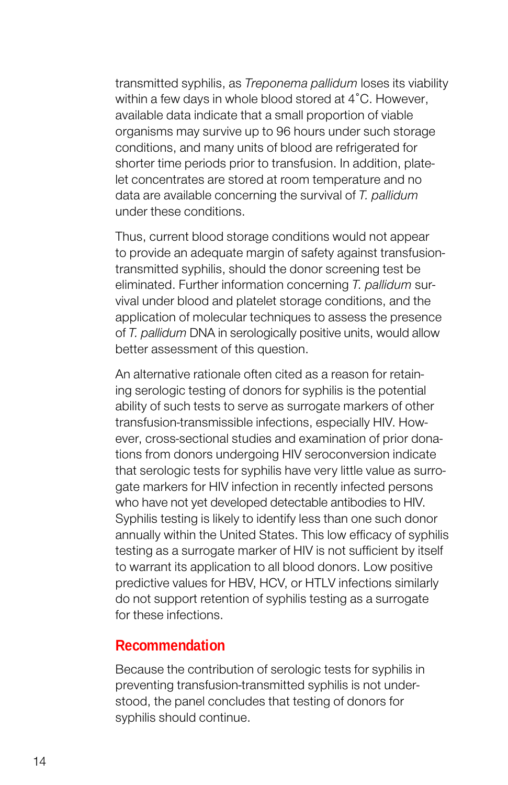transmitted syphilis, as Treponema pallidum loses its viability within a few days in whole blood stored at 4˚C. However, available data indicate that a small proportion of viable organisms may survive up to 96 hours under such storage conditions, and many units of blood are refrigerated for shorter time periods prior to transfusion. In addition, platelet concentrates are stored at room temperature and no data are available concerning the survival of T. pallidum under these conditions.

Thus, current blood storage conditions would not appear to provide an adequate margin of safety against transfusiontransmitted syphilis, should the donor screening test be eliminated. Further information concerning T. pallidum survival under blood and platelet storage conditions, and the application of molecular techniques to assess the presence of T. pallidum DNA in serologically positive units, would allow better assessment of this question.

An alternative rationale often cited as a reason for retaining serologic testing of donors for syphilis is the potential ability of such tests to serve as surrogate markers of other transfusion-transmissible infections, especially HIV. However, cross-sectional studies and examination of prior donations from donors undergoing HIV seroconversion indicate that serologic tests for syphilis have very little value as surrogate markers for HIV infection in recently infected persons who have not yet developed detectable antibodies to HIV. Syphilis testing is likely to identify less than one such donor annually within the United States. This low efficacy of syphilis testing as a surrogate marker of HIV is not sufficient by itself to warrant its application to all blood donors. Low positive predictive values for HBV, HCV, or HTLV infections similarly do not support retention of syphilis testing as a surrogate for these infections.

### **Recommendation**

Because the contribution of serologic tests for syphilis in preventing transfusion-transmitted syphilis is not understood, the panel concludes that testing of donors for syphilis should continue.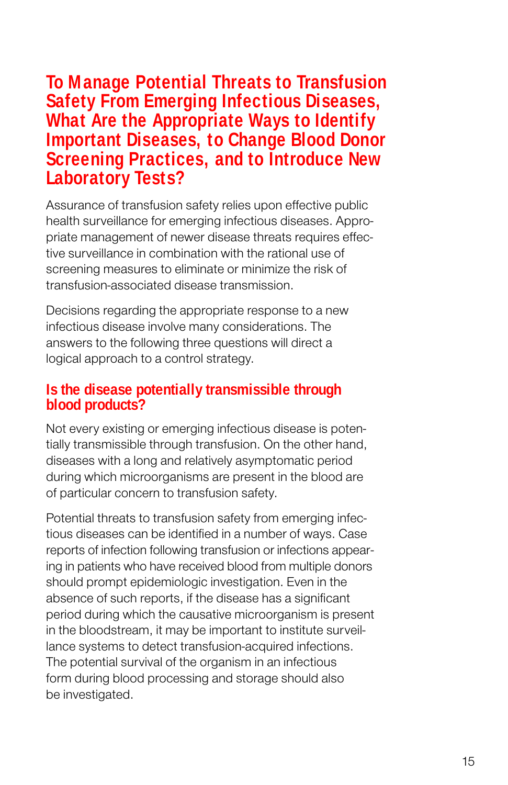# **To Manage Potential Threats to Transfusion Safety From Emerging Infectious Diseases, What Are the Appropriate Ways to Identify Important Diseases, to Change Blood Donor Screening Practices, and to Introduce New Laboratory Tests?**

Assurance of transfusion safety relies upon effective public health surveillance for emerging infectious diseases. Appropriate management of newer disease threats requires effective surveillance in combination with the rational use of screening measures to eliminate or minimize the risk of transfusion-associated disease transmission.

Decisions regarding the appropriate response to a new infectious disease involve many considerations. The answers to the following three questions will direct a logical approach to a control strategy.

### **Is the disease potentially transmissible through blood products?**

Not every existing or emerging infectious disease is potentially transmissible through transfusion. On the other hand, diseases with a long and relatively asymptomatic period during which microorganisms are present in the blood are of particular concern to transfusion safety.

Potential threats to transfusion safety from emerging infectious diseases can be identified in a number of ways. Case reports of infection following transfusion or infections appearing in patients who have received blood from multiple donors should prompt epidemiologic investigation. Even in the absence of such reports, if the disease has a significant period during which the causative microorganism is present in the bloodstream, it may be important to institute surveillance systems to detect transfusion-acquired infections. The potential survival of the organism in an infectious form during blood processing and storage should also be investigated.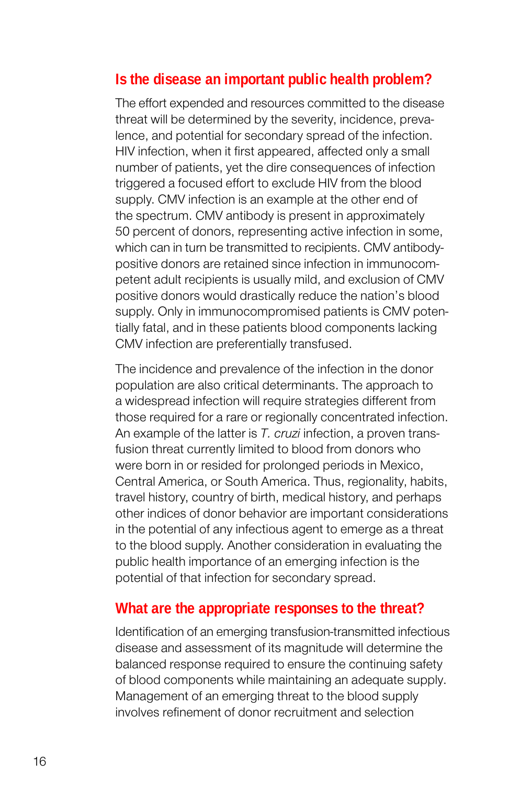### **Is the disease an important public health problem?**

The effort expended and resources committed to the disease threat will be determined by the severity, incidence, prevalence, and potential for secondary spread of the infection. HIV infection, when it first appeared, affected only a small number of patients, yet the dire consequences of infection triggered a focused effort to exclude HIV from the blood supply. CMV infection is an example at the other end of the spectrum. CMV antibody is present in approximately 50 percent of donors, representing active infection in some, which can in turn be transmitted to recipients. CMV antibodypositive donors are retained since infection in immunocompetent adult recipients is usually mild, and exclusion of CMV positive donors would drastically reduce the nation's blood supply. Only in immunocompromised patients is CMV potentially fatal, and in these patients blood components lacking CMV infection are preferentially transfused.

The incidence and prevalence of the infection in the donor population are also critical determinants. The approach to a widespread infection will require strategies different from those required for a rare or regionally concentrated infection. An example of the latter is T, cruzi infection, a proven transfusion threat currently limited to blood from donors who were born in or resided for prolonged periods in Mexico, Central America, or South America. Thus, regionality, habits, travel history, country of birth, medical history, and perhaps other indices of donor behavior are important considerations in the potential of any infectious agent to emerge as a threat to the blood supply. Another consideration in evaluating the public health importance of an emerging infection is the potential of that infection for secondary spread.

### **What are the appropriate responses to the threat?**

Identification of an emerging transfusion-transmitted infectious disease and assessment of its magnitude will determine the balanced response required to ensure the continuing safety of blood components while maintaining an adequate supply. Management of an emerging threat to the blood supply involves refinement of donor recruitment and selection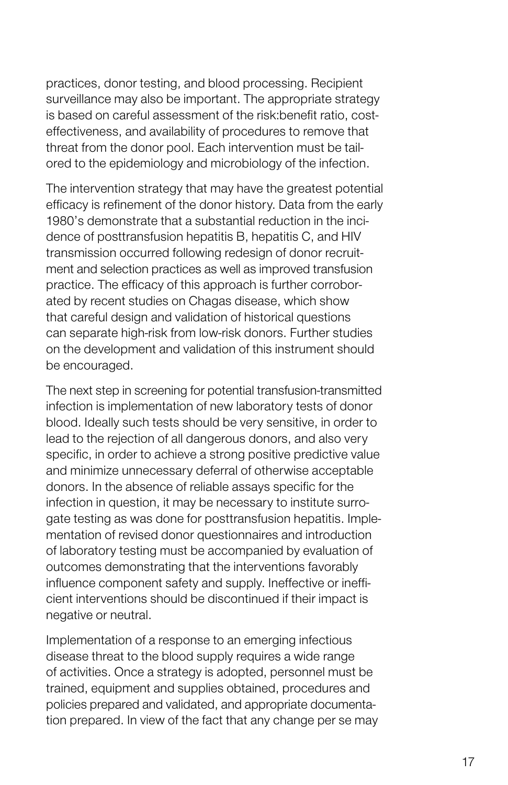practices, donor testing, and blood processing. Recipient surveillance may also be important. The appropriate strategy is based on careful assessment of the risk:benefit ratio, costeffectiveness, and availability of procedures to remove that threat from the donor pool. Each intervention must be tailored to the epidemiology and microbiology of the infection.

The intervention strategy that may have the greatest potential efficacy is refinement of the donor history. Data from the early 1980's demonstrate that a substantial reduction in the incidence of posttransfusion hepatitis B, hepatitis C, and HIV transmission occurred following redesign of donor recruitment and selection practices as well as improved transfusion practice. The efficacy of this approach is further corroborated by recent studies on Chagas disease, which show that careful design and validation of historical questions can separate high-risk from low-risk donors. Further studies on the development and validation of this instrument should be encouraged.

The next step in screening for potential transfusion-transmitted infection is implementation of new laboratory tests of donor blood. Ideally such tests should be very sensitive, in order to lead to the rejection of all dangerous donors, and also very specific, in order to achieve a strong positive predictive value and minimize unnecessary deferral of otherwise acceptable donors. In the absence of reliable assays specific for the infection in question, it may be necessary to institute surrogate testing as was done for posttransfusion hepatitis. Implementation of revised donor questionnaires and introduction of laboratory testing must be accompanied by evaluation of outcomes demonstrating that the interventions favorably influence component safety and supply. Ineffective or inefficient interventions should be discontinued if their impact is negative or neutral.

Implementation of a response to an emerging infectious disease threat to the blood supply requires a wide range of activities. Once a strategy is adopted, personnel must be trained, equipment and supplies obtained, procedures and policies prepared and validated, and appropriate documentation prepared. In view of the fact that any change per se may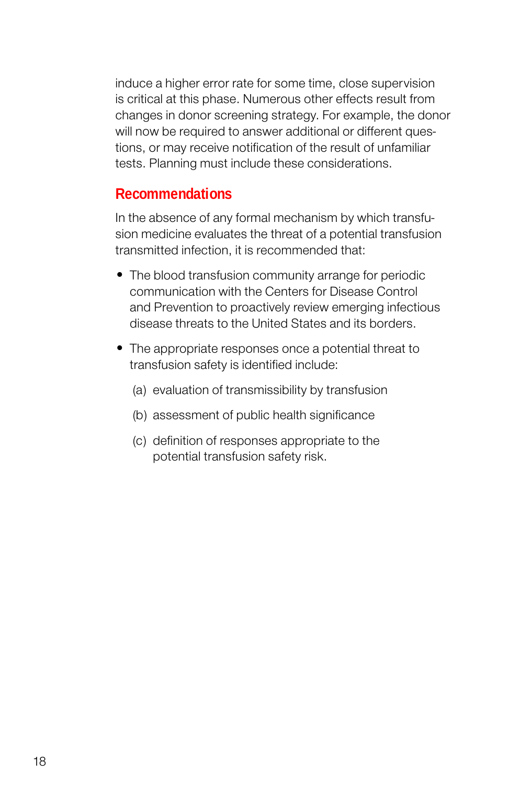induce a higher error rate for some time, close supervision is critical at this phase. Numerous other effects result from changes in donor screening strategy. For example, the donor will now be required to answer additional or different questions, or may receive notification of the result of unfamiliar tests. Planning must include these considerations.

### **Recommendations**

In the absence of any formal mechanism by which transfusion medicine evaluates the threat of a potential transfusion transmitted infection, it is recommended that:

- The blood transfusion community arrange for periodic communication with the Centers for Disease Control and Prevention to proactively review emerging infectious disease threats to the United States and its borders.
- The appropriate responses once a potential threat to transfusion safety is identified include:
	- (a) evaluation of transmissibility by transfusion
	- (b) assessment of public health significance
	- (c) definition of responses appropriate to the potential transfusion safety risk.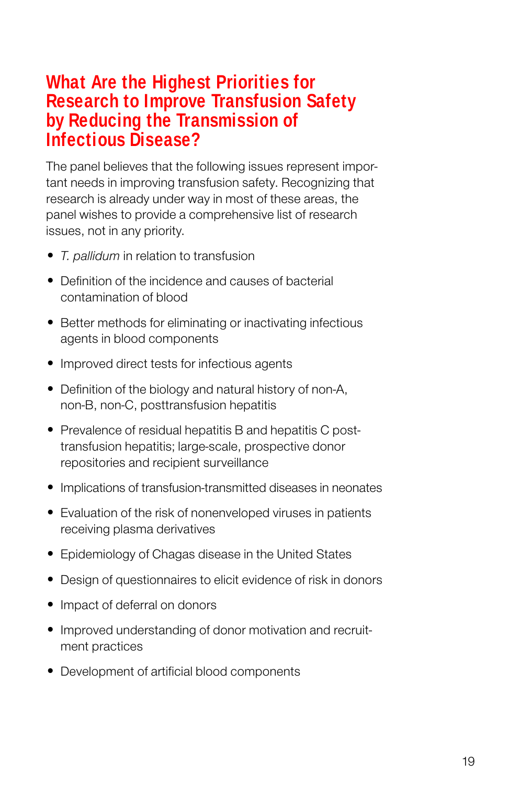# **What Are the Highest Priorities for Research to Improve Transfusion Safety by Reducing the Transmission of Infectious Disease?**

The panel believes that the following issues represent important needs in improving transfusion safety. Recognizing that research is already under way in most of these areas, the panel wishes to provide a comprehensive list of research issues, not in any priority.

- T. pallidum in relation to transfusion
- Definition of the incidence and causes of bacterial contamination of blood
- **•** Better methods for eliminating or inactivating infectious agents in blood components
- Improved direct tests for infectious agents
- Definition of the biology and natural history of non-A, non-B, non-C, posttransfusion hepatitis
- Prevalence of residual hepatitis B and hepatitis C posttransfusion hepatitis; large-scale, prospective donor repositories and recipient surveillance
- Implications of transfusion-transmitted diseases in neonates
- Evaluation of the risk of nonenveloped viruses in patients receiving plasma derivatives
- Epidemiology of Chagas disease in the United States
- Design of questionnaires to elicit evidence of risk in donors
- Impact of deferral on donors
- Improved understanding of donor motivation and recruitment practices
- Development of artificial blood components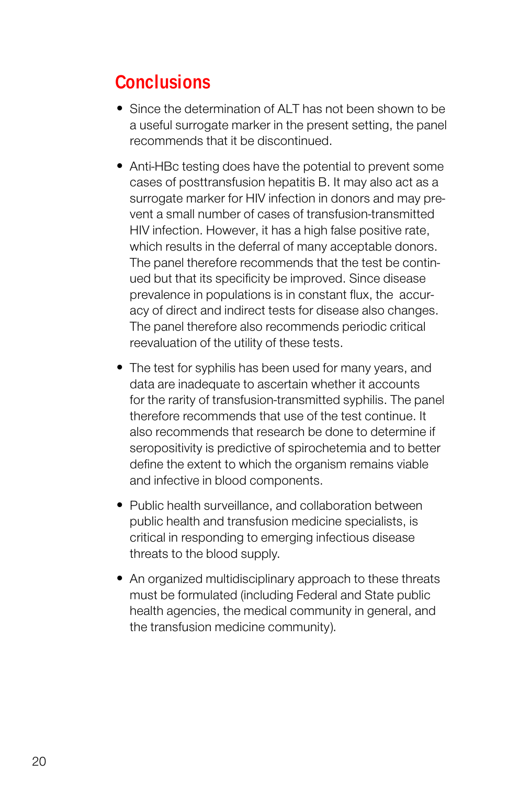# **Conclusions**

- Since the determination of ALT has not been shown to be a useful surrogate marker in the present setting, the panel recommends that it be discontinued.
- Anti-HBc testing does have the potential to prevent some cases of posttransfusion hepatitis B. It may also act as a surrogate marker for HIV infection in donors and may prevent a small number of cases of transfusion-transmitted HIV infection. However, it has a high false positive rate, which results in the deferral of many acceptable donors. The panel therefore recommends that the test be continued but that its specificity be improved. Since disease prevalence in populations is in constant flux, the accuracy of direct and indirect tests for disease also changes. The panel therefore also recommends periodic critical reevaluation of the utility of these tests.
- The test for syphilis has been used for many years, and data are inadequate to ascertain whether it accounts for the rarity of transfusion-transmitted syphilis. The panel therefore recommends that use of the test continue. It also recommends that research be done to determine if seropositivity is predictive of spirochetemia and to better define the extent to which the organism remains viable and infective in blood components.
- Public health surveillance, and collaboration between public health and transfusion medicine specialists, is critical in responding to emerging infectious disease threats to the blood supply.
- An organized multidisciplinary approach to these threats must be formulated (including Federal and State public health agencies, the medical community in general, and the transfusion medicine community).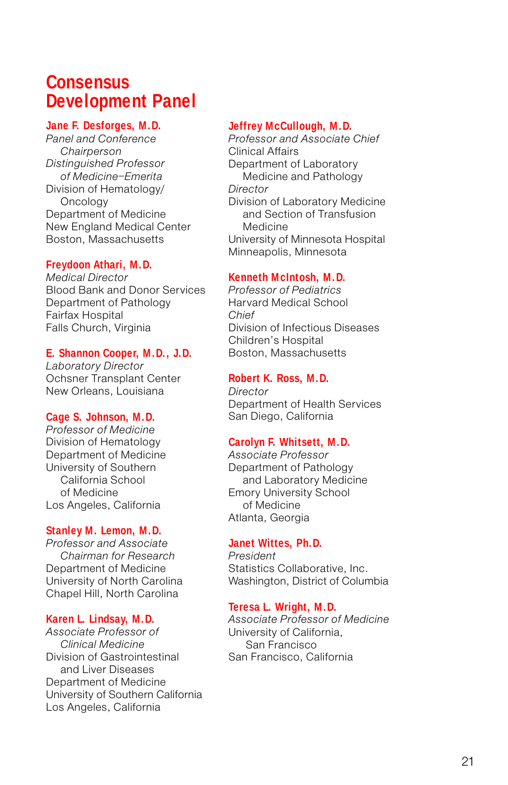# **Consensus Development Panel**

#### **Jane F. Desforges, M.D.**

Panel and Conference **Chairperson** Distinguished Professor of Medicine–Emerita Division of Hematology/ **Oncology** Department of Medicine New England Medical Center Boston, Massachusetts

#### **Freydoon Athari, M.D.**

Medical Director Blood Bank and Donor Services Department of Pathology Fairfax Hospital Falls Church, Virginia

#### **E. Shannon Cooper, M.D., J.D.**

Laboratory Director Ochsner Transplant Center New Orleans, Louisiana

#### **Cage S. Johnson, M.D.**

Professor of Medicine Division of Hematology Department of Medicine University of Southern California School of Medicine Los Angeles, California

#### **Stanley M. Lemon, M.D.**

Professor and Associate Chairman for Research Department of Medicine University of North Carolina Chapel Hill, North Carolina

#### **Karen L. Lindsay, M.D.**

Associate Professor of Clinical Medicine Division of Gastrointestinal and Liver Diseases Department of Medicine University of Southern California Los Angeles, California

#### **Jeffrey McCullough, M.D.**

Professor and Associate Chief Clinical Affairs Department of Laboratory Medicine and Pathology **Director** Division of Laboratory Medicine and Section of Transfusion Medicine University of Minnesota Hospital Minneapolis, Minnesota

#### **Kenneth McIntosh, M.D.**

Professor of Pediatrics Harvard Medical School Chief Division of Infectious Diseases Children's Hospital Boston, Massachusetts

#### **Robert K. Ross, M.D.**

**Director** Department of Health Services San Diego, California

#### **Carolyn F. Whitsett, M.D.**

Associate Professor Department of Pathology and Laboratory Medicine Emory University School of Medicine Atlanta, Georgia

#### **Janet Wittes, Ph.D.**

President Statistics Collaborative, Inc. Washington, District of Columbia

#### **Teresa L. Wright, M.D.**

Associate Professor of Medicine University of California, San Francisco San Francisco, California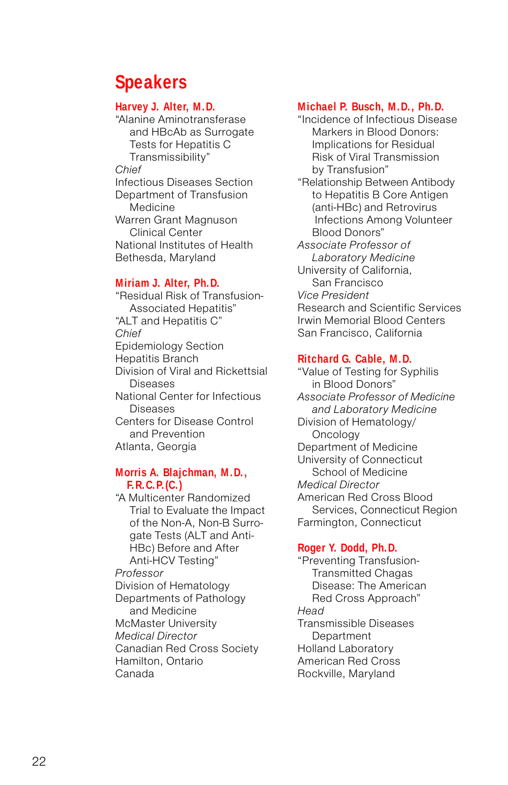# **Speakers**

#### **Harvey J. Alter, M.D.**

"Alanine Aminotransferase and HBcAb as Surrogate Tests for Hepatitis C Transmissibility" Chief Infectious Diseases Section Department of Transfusion Medicine Warren Grant Magnuson Clinical Center National Institutes of Health Bethesda, Maryland

#### **Miriam J. Alter, Ph.D.**

"Residual Risk of Transfusion-Associated Hepatitis" "ALT and Hepatitis C" **Chief** Epidemiology Section Hepatitis Branch Division of Viral and Rickettsial **Diseases** National Center for Infectious **Diseases** Centers for Disease Control and Prevention Atlanta, Georgia

#### **Morris A. Blajchman, M.D., F.R.C.P.(C.)**

"A Multicenter Randomized Trial to Evaluate the Impact of the Non-A, Non-B Surrogate Tests (ALT and Anti-HBc) Before and After Anti-HCV Testing" Professor Division of Hematology Departments of Pathology and Medicine McMaster University Medical Director Canadian Red Cross Society Hamilton, Ontario Canada

#### **Michael P. Busch, M.D., Ph.D.**

"Incidence of Infectious Disease Markers in Blood Donors: Implications for Residual Risk of Viral Transmission by Transfusion" "Relationship Between Antibody to Hepatitis B Core Antigen (anti-HBc) and Retrovirus Infections Among Volunteer Blood Donors" Associate Professor of Laboratory Medicine University of California, San Francisco Vice President Research and Scientific Services

## San Francisco, California **Ritchard G. Cable, M.D.**

Irwin Memorial Blood Centers

"Value of Testing for Syphilis in Blood Donors" Associate Professor of Medicine and Laboratory Medicine Division of Hematology/ **Oncology** Department of Medicine University of Connecticut School of Medicine Medical Director American Red Cross Blood Services, Connecticut Region Farmington, Connecticut

#### **Roger Y. Dodd, Ph.D.**

"Preventing Transfusion-Transmitted Chagas Disease: The American Red Cross Approach" **Head** Transmissible Diseases Department Holland Laboratory American Red Cross Rockville, Maryland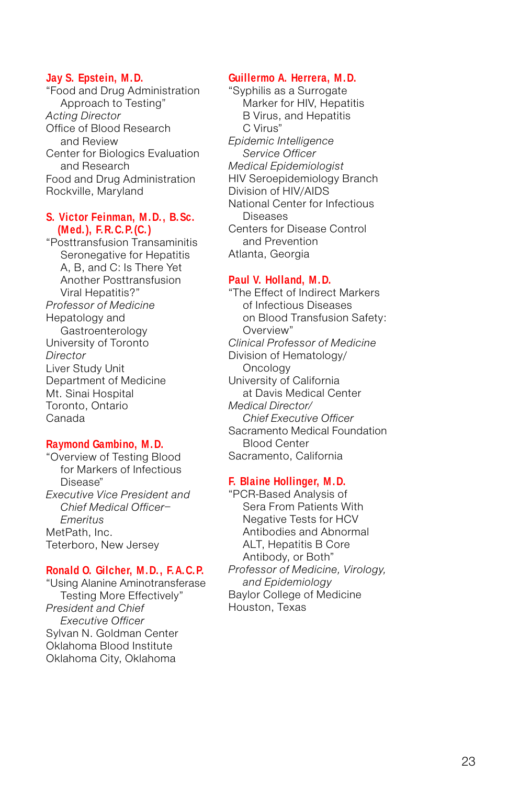#### **Jay S. Epstein, M.D.**

"Food and Drug Administration Approach to Testing" Acting Director Office of Blood Research and Review Center for Biologics Evaluation and Research Food and Drug Administration Rockville, Maryland

#### **S. Victor Feinman, M.D., B.Sc. (Med.), F.R.C.P.(C.)**

"Posttransfusion Transaminitis Seronegative for Hepatitis A, B, and C: Is There Yet Another Posttransfusion Viral Hepatitis?" Professor of Medicine Hepatology and Gastroenterology University of Toronto **Director** Liver Study Unit Department of Medicine Mt. Sinai Hospital Toronto, Ontario Canada

#### **Raymond Gambino, M.D.**

"Overview of Testing Blood for Markers of Infectious Disease" Executive Vice President and Chief Medical Officer– Emeritus MetPath, Inc. Teterboro, New Jersey

#### **Ronald O. Gilcher, M.D., F.A.C.P.**

"Using Alanine Aminotransferase Testing More Effectively" President and Chief Executive Officer Sylvan N. Goldman Center Oklahoma Blood Institute Oklahoma City, Oklahoma

#### **Guillermo A. Herrera, M.D.**

"Syphilis as a Surrogate Marker for HIV, Hepatitis B Virus, and Hepatitis C Virus"

Epidemic Intelligence Service Officer Medical Epidemiologist HIV Seroepidemiology Branch Division of HIV/AIDS National Center for Infectious Diseases Centers for Disease Control and Prevention Atlanta, Georgia

#### **Paul V. Holland, M.D.**

"The Effect of Indirect Markers of Infectious Diseases on Blood Transfusion Safety: Overview" Clinical Professor of Medicine Division of Hematology/ **Oncology** University of California at Davis Medical Center Medical Director/ Chief Executive Officer Sacramento Medical Foundation Blood Center Sacramento, California

#### **F. Blaine Hollinger, M.D.**

"PCR-Based Analysis of Sera From Patients With Negative Tests for HCV Antibodies and Abnormal ALT, Hepatitis B Core Antibody, or Both" Professor of Medicine, Virology, and Epidemiology Baylor College of Medicine Houston, Texas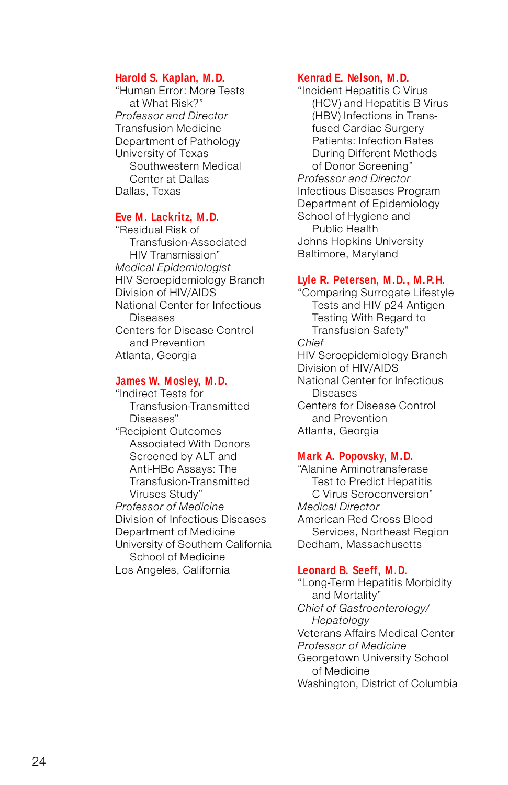#### **Harold S. Kaplan, M.D.**

"Human Error: More Tests at What Risk?" Professor and Director Transfusion Medicine Department of Pathology University of Texas Southwestern Medical Center at Dallas Dallas, Texas

#### **Eve M. Lackritz, M.D.**

"Residual Risk of Transfusion-Associated HIV Transmission" Medical Epidemiologist HIV Seroepidemiology Branch Division of HIV/AIDS National Center for Infectious **Diseases** Centers for Disease Control and Prevention Atlanta, Georgia

#### **James W. Mosley, M.D.**

"Indirect Tests for Transfusion-Transmitted Diseases" "Recipient Outcomes Associated With Donors Screened by ALT and Anti-HBc Assays: The Transfusion-Transmitted Viruses Study" Professor of Medicine Division of Infectious Diseases Department of Medicine University of Southern California School of Medicine Los Angeles, California

#### **Kenrad E. Nelson, M.D.**

"Incident Hepatitis C Virus (HCV) and Hepatitis B Virus (HBV) Infections in Transfused Cardiac Surgery Patients: Infection Rates During Different Methods of Donor Screening" Professor and Director Infectious Diseases Program Department of Epidemiology School of Hygiene and Public Health Johns Hopkins University Baltimore, Maryland

#### **Lyle R. Petersen, M.D., M.P.H.**

"Comparing Surrogate Lifestyle Tests and HIV p24 Antigen Testing With Regard to Transfusion Safety" Chief HIV Seroepidemiology Branch Division of HIV/AIDS National Center for Infectious Diseases Centers for Disease Control and Prevention Atlanta, Georgia

#### **Mark A. Popovsky, M.D.**

"Alanine Aminotransferase Test to Predict Hepatitis C Virus Seroconversion" Medical Director American Red Cross Blood Services, Northeast Region Dedham, Massachusetts

#### **Leonard B. Seeff, M.D.**

"Long-Term Hepatitis Morbidity and Mortality" Chief of Gastroenterology/ **Hepatology** Veterans Affairs Medical Center Professor of Medicine Georgetown University School of Medicine Washington, District of Columbia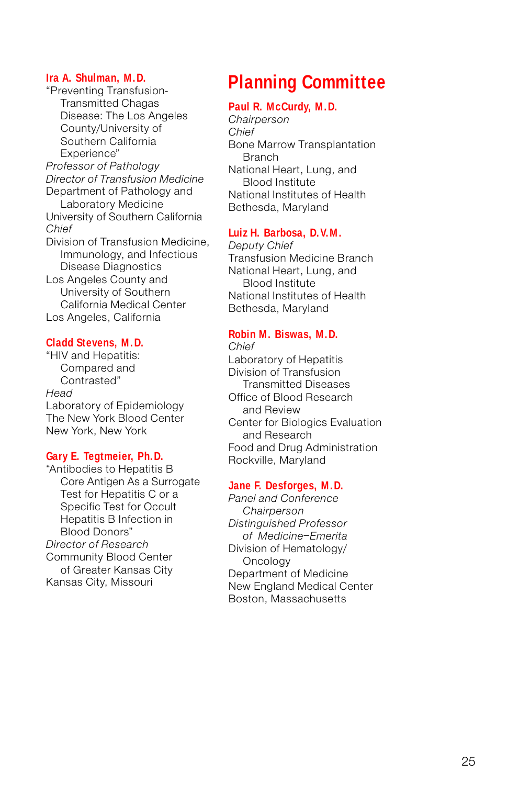#### **Ira A. Shulman, M.D.**

"Preventing Transfusion-Transmitted Chagas Disease: The Los Angeles County/University of Southern California Experience" Professor of Pathology Director of Transfusion Medicine Department of Pathology and Laboratory Medicine University of Southern California Chief Division of Transfusion Medicine, Immunology, and Infectious Disease Diagnostics Los Angeles County and University of Southern California Medical Center Los Angeles, California

#### **Cladd Stevens, M.D.**

"HIV and Hepatitis: Compared and Contrasted" Head Laboratory of Epidemiology The New York Blood Center New York, New York

#### **Gary E. Tegtmeier, Ph.D.**

"Antibodies to Hepatitis B Core Antigen As a Surrogate Test for Hepatitis C or a Specific Test for Occult Hepatitis B Infection in Blood Donors" Director of Research Community Blood Center of Greater Kansas City Kansas City, Missouri

# **Planning Committee**

#### **Paul R. McCurdy, M.D.**

**Chairperson** Chief Bone Marrow Transplantation Branch National Heart, Lung, and Blood Institute National Institutes of Health Bethesda, Maryland

#### **Luiz H. Barbosa, D.V.M.**

Deputy Chief Transfusion Medicine Branch National Heart, Lung, and Blood Institute National Institutes of Health Bethesda, Maryland

#### **Robin M. Biswas, M.D.**

Chief Laboratory of Hepatitis Division of Transfusion Transmitted Diseases Office of Blood Research and Review Center for Biologics Evaluation and Research Food and Drug Administration Rockville, Maryland

#### **Jane F. Desforges, M.D.**

Panel and Conference **Chairperson** Distinguished Professor of Medicine–Emerita Division of Hematology/ Oncology Department of Medicine New England Medical Center Boston, Massachusetts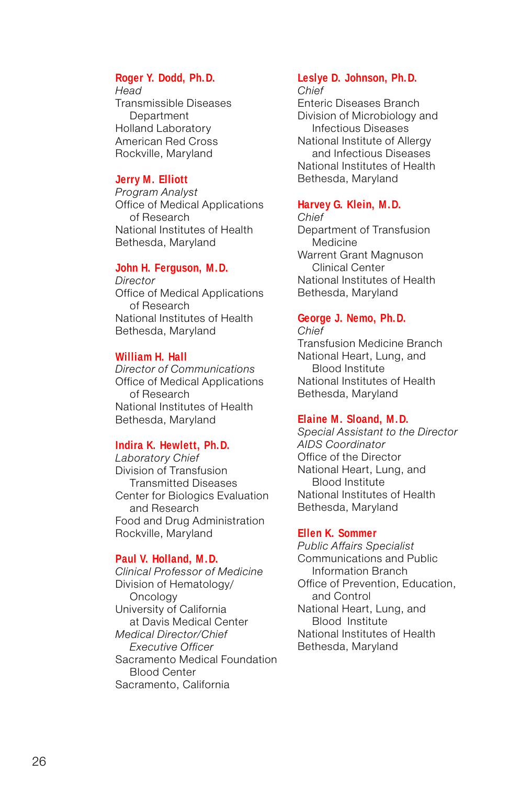#### **Roger Y. Dodd, Ph.D.**  Head

Transmissible Diseases **Department** Holland Laboratory American Red Cross Rockville, Maryland

#### **Jerry M. Elliott**

Program Analyst Office of Medical Applications of Research National Institutes of Health Bethesda, Maryland

#### **John H. Ferguson, M.D.**

**Director** Office of Medical Applications of Research National Institutes of Health Bethesda, Maryland

#### **William H. Hall**

Director of Communications Office of Medical Applications of Research National Institutes of Health Bethesda, Maryland

#### **Indira K. Hewlett, Ph.D.**

Laboratory Chief Division of Transfusion Transmitted Diseases Center for Biologics Evaluation and Research Food and Drug Administration Rockville, Maryland

#### **Paul V. Holland, M.D.**

Clinical Professor of Medicine Division of Hematology/ **Oncology** University of California at Davis Medical Center Medical Director/Chief Executive Officer Sacramento Medical Foundation Blood Center Sacramento, California

#### **Leslye D. Johnson, Ph.D.**  Chief

Enteric Diseases Branch Division of Microbiology and Infectious Diseases National Institute of Allergy and Infectious Diseases National Institutes of Health Bethesda, Maryland

#### **Harvey G. Klein, M.D.**

Chief Department of Transfusion Medicine Warrent Grant Magnuson Clinical Center National Institutes of Health Bethesda, Maryland

#### **George J. Nemo, Ph.D.**

Chief Transfusion Medicine Branch National Heart, Lung, and Blood Institute National Institutes of Health Bethesda, Maryland

#### **Elaine M. Sloand, M.D.**

Special Assistant to the Director AIDS Coordinator Office of the Director National Heart, Lung, and Blood Institute National Institutes of Health Bethesda, Maryland

#### **Ellen K. Sommer**

Public Affairs Specialist Communications and Public Information Branch Office of Prevention, Education, and Control National Heart, Lung, and Blood Institute National Institutes of Health Bethesda, Maryland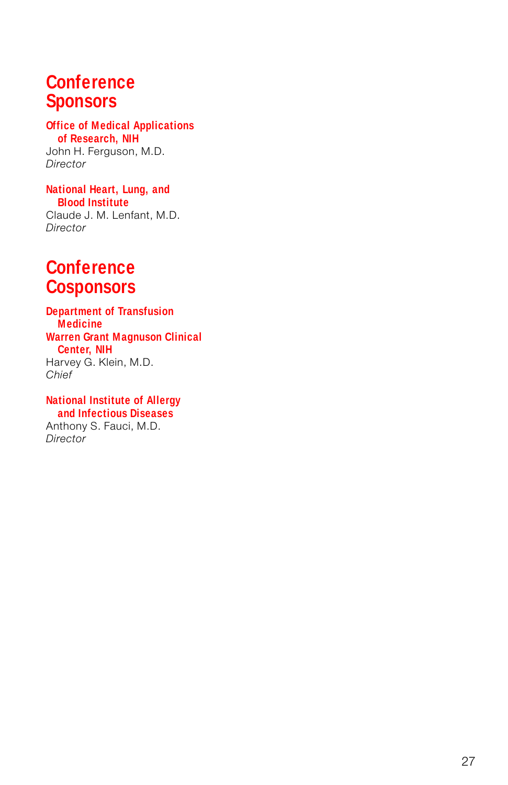# **Conference Sponsors**

#### **Office of Medical Applications**

**of Research, NIH**  John H. Ferguson, M.D. **Director** 

#### **National Heart, Lung, and Blood Institute**

Claude J. M. Lenfant, M.D. **Director** 

# **Conference Cosponsors**

#### **Department of Transfusion Medicine Warren Grant Magnuson Clinical Center, NIH**  Harvey G. Klein, M.D. Chief

#### **National Institute of Allergy and Infectious Diseases**  Anthony S. Fauci, M.D.

**Director**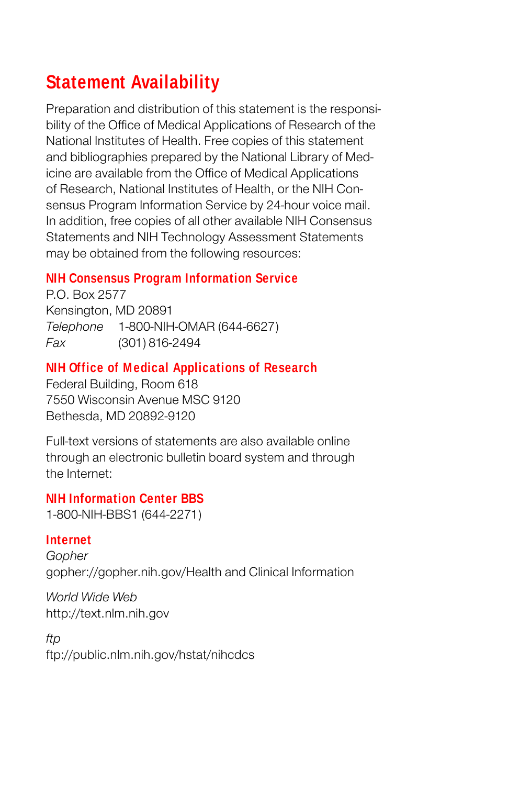# **Statement Availability**

Preparation and distribution of this statement is the responsibility of the Office of Medical Applications of Research of the National Institutes of Health. Free copies of this statement and bibliographies prepared by the National Library of Medicine are available from the Office of Medical Applications of Research, National Institutes of Health, or the NIH Consensus Program Information Service by 24-hour voice mail. In addition, free copies of all other available NIH Consensus Statements and NIH Technology Assessment Statements may be obtained from the following resources:

### **NIH Consensus Program Information Service**

P.O. Box 2577 Kensington, MD 20891 Telephone 1-800-NIH-OMAR (644-6627) Fax (301) 816-2494

### **NIH Office of Medical Applications of Research**

Federal Building, Room 618 7550 Wisconsin Avenue MSC 9120 Bethesda, MD 20892-9120

Full-text versions of statements are also available online through an electronic bulletin board system and through the Internet:

### **NIH Information Center BBS**

1-800-NIH-BBS1 (644-2271)

### **Internet**

**Gopher** gopher://gopher.nih.gov/Health and Clinical Information

World Wide Web http://text.nlm.nih.gov

ftp ftp://public.nlm.nih.gov/hstat/nihcdcs